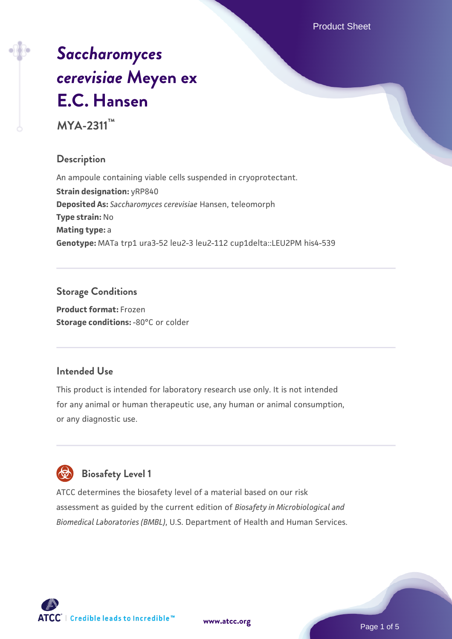Product Sheet

# *[Saccharomyces](https://www.atcc.org/products/mya-2311) [cerevisiae](https://www.atcc.org/products/mya-2311)* **[Meyen ex](https://www.atcc.org/products/mya-2311) [E.C. Hansen](https://www.atcc.org/products/mya-2311)**

**MYA-2311™**

#### **Description**

An ampoule containing viable cells suspended in cryoprotectant. **Strain designation: yRP840 Deposited As:** *Saccharomyces cerevisiae* Hansen, teleomorph **Type strain:** No **Mating type:** a **Genotype:** MATa trp1 ura3-52 leu2-3 leu2-112 cup1delta::LEU2PM his4-539

## **Storage Conditions**

**Product format:** Frozen **Storage conditions: -80°C or colder** 

#### **Intended Use**

This product is intended for laboratory research use only. It is not intended for any animal or human therapeutic use, any human or animal consumption, or any diagnostic use.

# **Biosafety Level 1**

ATCC determines the biosafety level of a material based on our risk assessment as guided by the current edition of *Biosafety in Microbiological and Biomedical Laboratories (BMBL)*, U.S. Department of Health and Human Services.

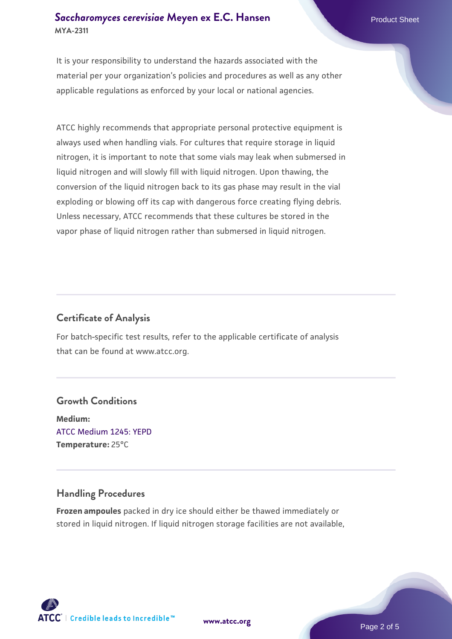#### **[Saccharomyces cerevisiae](https://www.atcc.org/products/mya-2311)** [Meyen ex E.C. Hansen](https://www.atcc.org/products/mya-2311) **MYA-2311**

It is your responsibility to understand the hazards associated with the material per your organization's policies and procedures as well as any other applicable regulations as enforced by your local or national agencies.

ATCC highly recommends that appropriate personal protective equipment is always used when handling vials. For cultures that require storage in liquid nitrogen, it is important to note that some vials may leak when submersed in liquid nitrogen and will slowly fill with liquid nitrogen. Upon thawing, the conversion of the liquid nitrogen back to its gas phase may result in the vial exploding or blowing off its cap with dangerous force creating flying debris. Unless necessary, ATCC recommends that these cultures be stored in the vapor phase of liquid nitrogen rather than submersed in liquid nitrogen.

#### **Certificate of Analysis**

For batch-specific test results, refer to the applicable certificate of analysis that can be found at www.atcc.org.

#### **Growth Conditions**

**Medium:**  [ATCC Medium 1245: YEPD](https://www.atcc.org/-/media/product-assets/documents/microbial-media-formulations/1/2/4/5/atcc-medium-1245.pdf?rev=705ca55d1b6f490a808a965d5c072196) **Temperature:** 25°C

#### **Handling Procedures**

**Frozen ampoules** packed in dry ice should either be thawed immediately or stored in liquid nitrogen. If liquid nitrogen storage facilities are not available,

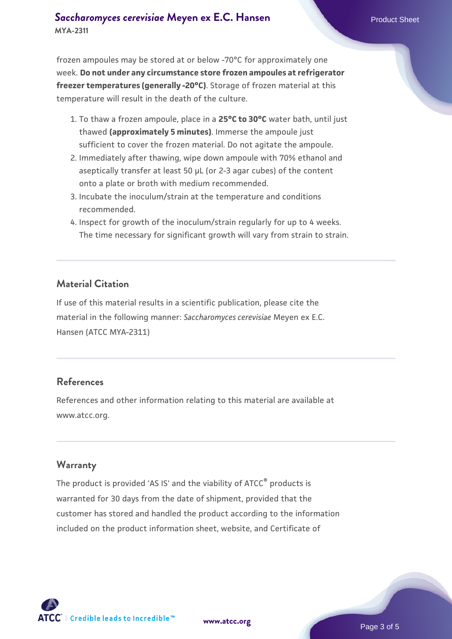#### **[Saccharomyces cerevisiae](https://www.atcc.org/products/mya-2311)** [Meyen ex E.C. Hansen](https://www.atcc.org/products/mya-2311) **MYA-2311**

frozen ampoules may be stored at or below -70°C for approximately one week. **Do not under any circumstance store frozen ampoules at refrigerator freezer temperatures (generally -20°C)**. Storage of frozen material at this temperature will result in the death of the culture.

- 1. To thaw a frozen ampoule, place in a **25°C to 30°C** water bath, until just thawed **(approximately 5 minutes)**. Immerse the ampoule just sufficient to cover the frozen material. Do not agitate the ampoule.
- 2. Immediately after thawing, wipe down ampoule with 70% ethanol and aseptically transfer at least 50 µL (or 2-3 agar cubes) of the content onto a plate or broth with medium recommended.
- 3. Incubate the inoculum/strain at the temperature and conditions recommended.
- 4. Inspect for growth of the inoculum/strain regularly for up to 4 weeks. The time necessary for significant growth will vary from strain to strain.

#### **Material Citation**

If use of this material results in a scientific publication, please cite the material in the following manner: *Saccharomyces cerevisiae* Meyen ex E.C. Hansen (ATCC MYA-2311)

#### **References**

References and other information relating to this material are available at www.atcc.org.

#### **Warranty**

The product is provided 'AS IS' and the viability of ATCC® products is warranted for 30 days from the date of shipment, provided that the customer has stored and handled the product according to the information included on the product information sheet, website, and Certificate of

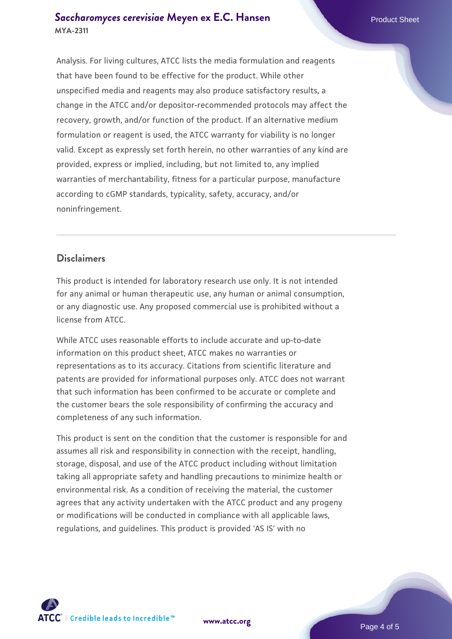#### **[Saccharomyces cerevisiae](https://www.atcc.org/products/mya-2311)** [Meyen ex E.C. Hansen](https://www.atcc.org/products/mya-2311) **MYA-2311**

Analysis. For living cultures, ATCC lists the media formulation and reagents that have been found to be effective for the product. While other unspecified media and reagents may also produce satisfactory results, a change in the ATCC and/or depositor-recommended protocols may affect the recovery, growth, and/or function of the product. If an alternative medium formulation or reagent is used, the ATCC warranty for viability is no longer valid. Except as expressly set forth herein, no other warranties of any kind are provided, express or implied, including, but not limited to, any implied warranties of merchantability, fitness for a particular purpose, manufacture according to cGMP standards, typicality, safety, accuracy, and/or noninfringement.

#### **Disclaimers**

This product is intended for laboratory research use only. It is not intended for any animal or human therapeutic use, any human or animal consumption, or any diagnostic use. Any proposed commercial use is prohibited without a license from ATCC.

While ATCC uses reasonable efforts to include accurate and up-to-date information on this product sheet, ATCC makes no warranties or representations as to its accuracy. Citations from scientific literature and patents are provided for informational purposes only. ATCC does not warrant that such information has been confirmed to be accurate or complete and the customer bears the sole responsibility of confirming the accuracy and completeness of any such information.

This product is sent on the condition that the customer is responsible for and assumes all risk and responsibility in connection with the receipt, handling, storage, disposal, and use of the ATCC product including without limitation taking all appropriate safety and handling precautions to minimize health or environmental risk. As a condition of receiving the material, the customer agrees that any activity undertaken with the ATCC product and any progeny or modifications will be conducted in compliance with all applicable laws, regulations, and guidelines. This product is provided 'AS IS' with no



**[www.atcc.org](http://www.atcc.org)**

Page 4 of 5